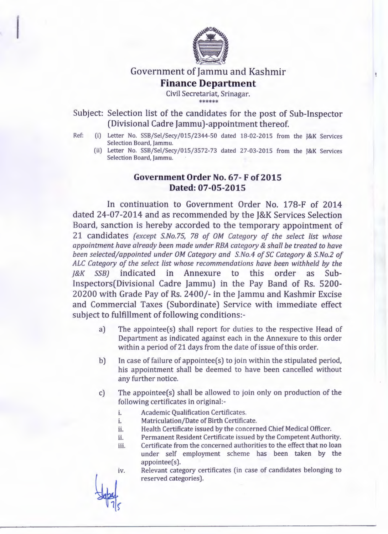

# Government of Jammu and Kashmir **Finance Department**

Civil Secretariat, Srinagar. \*\*\*\*\*\*

Subject: Selection list of the candidates for the post of Sub-Inspector (Divisional Cadre Jammu)-appointment thereof.

- Ref: (i) Letter No. SSB/Sel/Secy/015/2344-50 dated 18-02-2015 from the J&K Services Selection Board, Jammu.
	- (ii) Letter No. SSB/Sel/Secy/015/3572-73 dated 27-03-2015 from the J&K Services Selection Board, Jammu.

## Government Order No. 67-F of 2015 **Dated:** 07-05-2015

In continuation to Government Order No. 178-F of 2014 dated 24-07-2014 and as recommended by the J&K Services Selection Board, sanction is hereby accorded to the temporary appointment of 21 candidates *(except SNo.75,* 78 *of OM Category of the select list whose appointment have already been made under RBA category* & *shall be treated to have been selected/appointed under OM Category and SNo.4 of* SC *Category* & *SNo.2 of ALC Category of the select list whose recommendations have been withheld by the J&K SSB)* indicated in Annexure to this order as Sub-Inspectors(Divisional Cadre Jammu) in the Pay Band of Rs. 5200- 20200 with Grade Pay of Rs. 2400/- in the Jammu and Kashmir Excise and Commercial Taxes (Subordinate) Service with immediate effect subject to fulfillment of following conditions:-

- a) The appointee(s) shall report for duties to the respective Head of Department as indicated against each in the Annexure to this order within a period of 21 days from the date of issue of this order.
- b) In case of failure of appointee(s) to join within the stipulated period, his appointment shall be deemed to have been cancelled without any further notice.
- c) The appointee(s) shall be allowed to join only on production of the following certificates in original:
	- i. Academic Qualification Certificates.
	- i. Matriculation/Date of Birth Certificate.
	- ii. Health Certificate issued by the concerned Chief Medical Officer.
	- ii. Permanent Resident Certificate issued by the Competent Authority.
	- iii. Certificate from the concerned authorities to the effect that no loan under self employment scheme has been taken by the appointee(s).
	- Relevant category certificates (in case of candidates belonging to reserved categories). iv.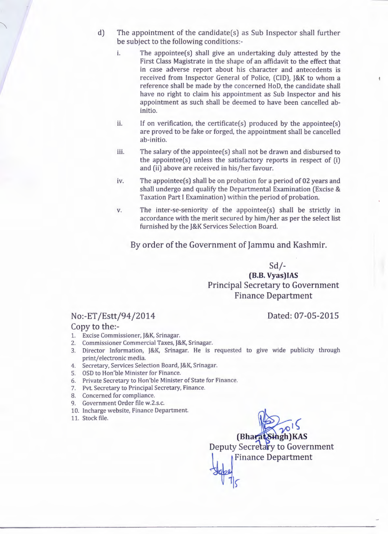- d) The appointment of the candidate(s) as Sub Inspector shall further be subject to the following conditions:
	- i. The appointee(s) shall give an undertaking duly attested by the First Class Magistrate in the shape of an affidavit to the effect that in case adverse report about his character and antecedents is received from Inspector General of Police, (CID), J&K to whom a reference shall be made by the concerned HoD, the candidate shall have no right to claim his appointment as Sub Inspector and his appointment as such shall be deemed to have been cancelled abinitio.
	- ii. If on verification, the certificate $(s)$  produced by the appointee $(s)$ are proved to be fake or forged, the appointment shall be cancelled ab-initio.
	- iii. The salary of the appointee(s) shall not be drawn and disbursed to the appointee(s) unless the satisfactory reports in respect of (i) and (ii) above are received in his/her favour.
	- iv. The appointee(s) shall be on probation for a period of 02 years and shall undergo and qualify the Departmental Examination (Excise & Taxation Part I Examination) within the period of probation.
	- v. The inter-se-seniority of the appointee(s) shall be strictly in accordance with the merit secured by him/her as per the select list furnished by the J&K Services Selection Board.

By order of the Government of Jammu and Kashmir.

Sd/- **(8.B. Vyas)IAS** Principal Secretary to Government Finance Department

#### Dated: 07-05-2015

 $\mathfrak g$ 

### No:-ET /Estt/94/2014

Copy to the:-

- 1. Excise Commissioner, J&K, Srinagar.
- 2. Commissioner Commercial Taxes, J&K, Srinagar.
- 3. Director Information, J&K, Srinagar. He is requested to give wide publicity through print/electronic media.
- 4. Secretary, Services Selection Board, J&K, Srinagar.
- 5. OSD to Hon'ble Minister for Finance.
- 6. Private Secretary to Hon'ble Minister of State for Finance.
- 7. Pvt. Secretary to Principal Secretary, Finance.
- 8. Concerned for compliance.
- 9. Government Order file w.2.s.c.
- 10. Incharge website, Finance Department.
- 11. Stock file.

 $\sqrt{10}$ **(Bharat Singh)KAS** Deputy Secretary to Government Finance Department